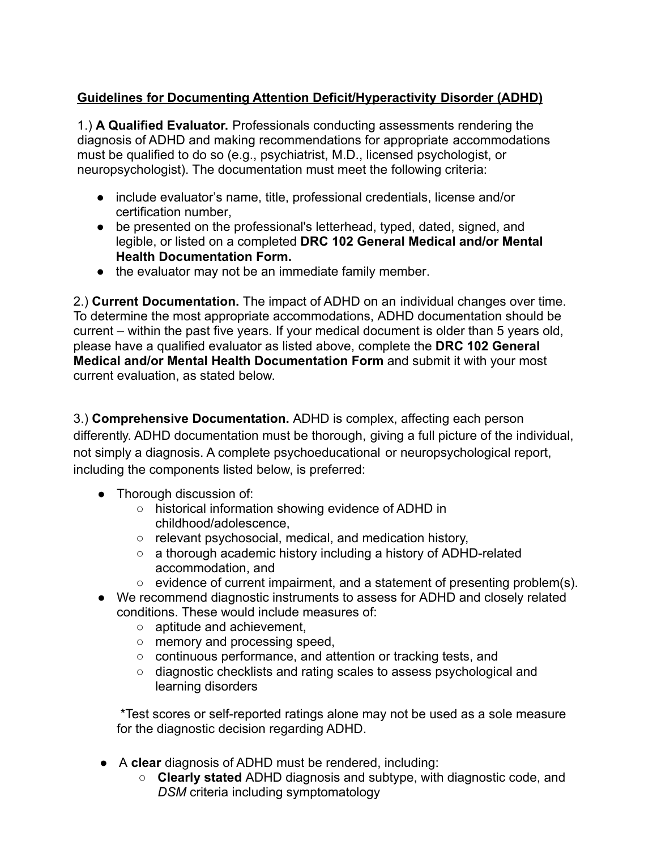## **Guidelines for Documenting Attention Deficit/Hyperactivity Disorder (ADHD)**

1.) **A Qualified Evaluator.** Professionals conducting assessments rendering the diagnosis of ADHD and making recommendations for appropriate accommodations must be qualified to do so (e.g., psychiatrist, M.D., licensed psychologist, or neuropsychologist). The documentation must meet the following criteria:

- include evaluator's name, title, professional credentials, license and/or certification number,
- be presented on the professional's letterhead, typed, dated, signed, and legible, or listed on a completed **DRC 102 General Medical and/or Mental Health Documentation Form.**
- the evaluator may not be an immediate family member.

2.) **Current Documentation.** The impact of ADHD on an individual changes over time. To determine the most appropriate accommodations, ADHD documentation should be current – within the past five years. If your medical document is older than 5 years old, please have a qualified evaluator as listed above, complete the **DRC 102 General Medical and/or Mental Health Documentation Form** and submit it with your most current evaluation, as stated below.

3.) **Comprehensive Documentation.** ADHD is complex, affecting each person differently. ADHD documentation must be thorough, giving a full picture of the individual, not simply a diagnosis. A complete psychoeducational or neuropsychological report, including the components listed below, is preferred:

- Thorough discussion of:
	- historical information showing evidence of ADHD in childhood/adolescence,
	- relevant psychosocial, medical, and medication history,
	- a thorough academic history including a history of ADHD-related accommodation, and
	- evidence of current impairment, and a statement of presenting problem(s).
- We recommend diagnostic instruments to assess for ADHD and closely related conditions. These would include measures of:
	- aptitude and achievement,
	- memory and processing speed,
	- continuous performance, and attention or tracking tests, and
	- diagnostic checklists and rating scales to assess psychological and learning disorders

\*Test scores or self-reported ratings alone may not be used as a sole measure for the diagnostic decision regarding ADHD.

- A **clear** diagnosis of ADHD must be rendered, including:
	- **Clearly stated** ADHD diagnosis and subtype, with diagnostic code, and *DSM* criteria including symptomatology